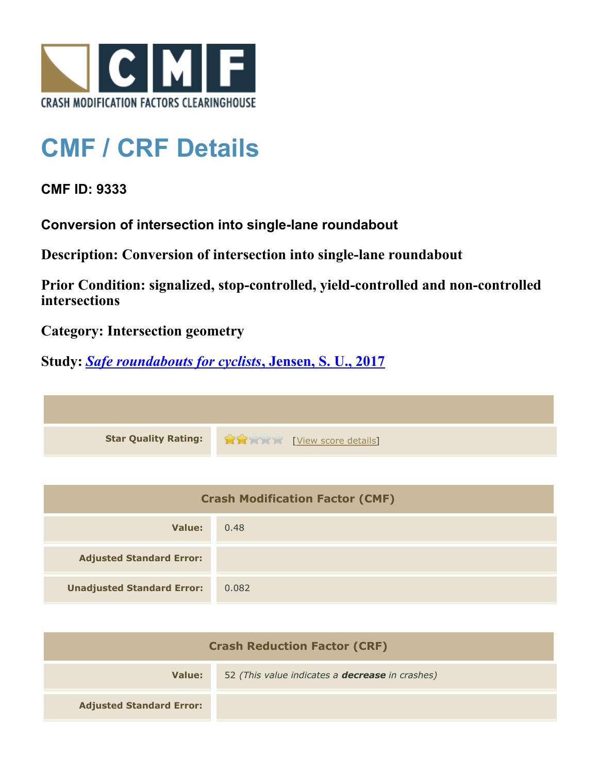

## **CMF / CRF Details**

**CMF ID: 9333**

**Conversion of intersection into single-lane roundabout**

**Description: Conversion of intersection into single-lane roundabout**

**Prior Condition: signalized, stop-controlled, yield-controlled and non-controlled intersections**

**Category: Intersection geometry**

**Study:** *[Safe roundabouts for cyclists](http://www.cmfclearinghouse.org/study_detail.cfm?stid=516)***[, Jensen, S. U., 2017](http://www.cmfclearinghouse.org/study_detail.cfm?stid=516)**

**Star Quality Rating:**  $\mathbf{\hat{x}}$   $\mathbf{\hat{y}}$  [[View score details](http://www.cmfclearinghouse.org/score_details.cfm?facid=9333)]

| <b>Crash Modification Factor (CMF)</b> |       |
|----------------------------------------|-------|
| Value:                                 | 0.48  |
| <b>Adjusted Standard Error:</b>        |       |
| <b>Unadjusted Standard Error:</b>      | 0.082 |

| <b>Crash Reduction Factor (CRF)</b> |                                                        |
|-------------------------------------|--------------------------------------------------------|
| Value:                              | 52 (This value indicates a <b>decrease</b> in crashes) |
| <b>Adjusted Standard Error:</b>     |                                                        |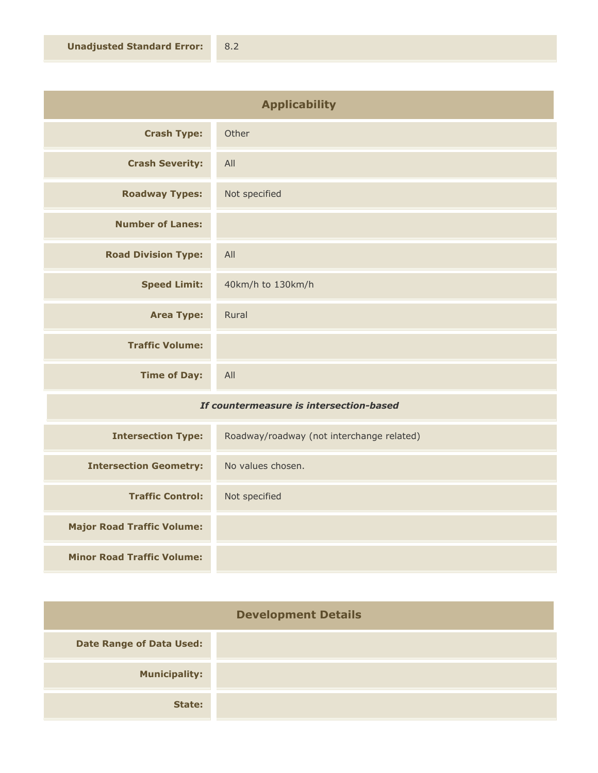| <b>Applicability</b>       |                   |
|----------------------------|-------------------|
| <b>Crash Type:</b>         | Other             |
| <b>Crash Severity:</b>     | All               |
| <b>Roadway Types:</b>      | Not specified     |
| <b>Number of Lanes:</b>    |                   |
| <b>Road Division Type:</b> | All               |
| <b>Speed Limit:</b>        | 40km/h to 130km/h |
| <b>Area Type:</b>          | Rural             |
| <b>Traffic Volume:</b>     |                   |
| <b>Time of Day:</b>        | All               |

## *If countermeasure is intersection-based*

| <b>Intersection Type:</b>         | Roadway/roadway (not interchange related) |
|-----------------------------------|-------------------------------------------|
| <b>Intersection Geometry:</b>     | No values chosen.                         |
| <b>Traffic Control:</b>           | Not specified                             |
| <b>Major Road Traffic Volume:</b> |                                           |
| <b>Minor Road Traffic Volume:</b> |                                           |

| <b>Development Details</b>      |  |
|---------------------------------|--|
| <b>Date Range of Data Used:</b> |  |
| <b>Municipality:</b>            |  |
| State:                          |  |